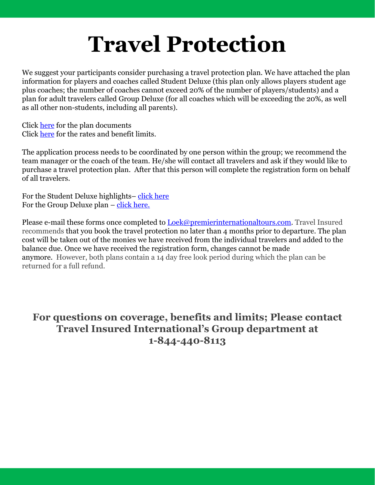## **Travel Protection**

We suggest your participants consider purchasing a travel protection plan. We have attached the plan information for players and coaches called Student Deluxe (this plan only allows players student age plus coaches; the number of coaches cannot exceed 20% of the number of players/students) and a plan for adult travelers called Group Deluxe (for all coaches which will be exceeding the 20%, as well as all other non-students, including all parents).

Click [here](#page-5-0) for the plan documents Click [here](#page-1-0) for the rates and benefit limits.

The application process needs to be coordinated by one person within the group; we recommend the team manager or the coach of the team. He/she will contact all travelers and ask if they would like to purchase a travel protection plan. After that this person will complete the registration form on behalf of all travelers.

For the Student Deluxe highlights– [click here](#page-1-0) For the Group Deluxe plan  $-\text{click}$  here.

Please e-mail these forms once completed to [Loek@premierinternationaltours.com.](mailto:Loek@premierinternationaltours.com) Travel Insured recommends that you book the travel protection no later than 4 months prior to departure. The plan cost will be taken out of the monies we have received from the individual travelers and added to the balance due. Once we have received the registration form, changes cannot be made anymore. However, both plans contain a 14 day free look period during which the plan can be returned for a full refund.

### **For questions on coverage, benefits and limits; Please contact Travel Insured International's Group department at 1-844-440-8113**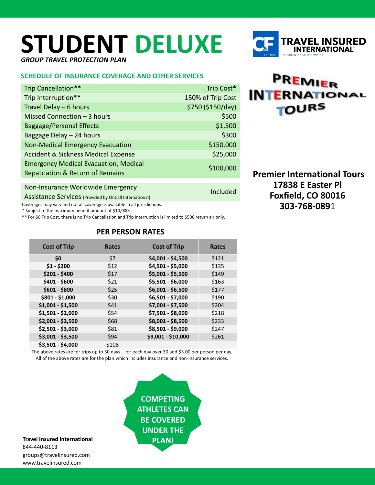# <span id="page-1-0"></span>**STUDENT DELUXE**

*GROUP TRAVEL PROTECTION PLAN*

#### **SCHEDULE OF INSURANCE COVERAGE AND OTHER SERVICES**

| Trip Cancellation**                                               | Trip Cost*        |
|-------------------------------------------------------------------|-------------------|
| Trip Interruption**                                               | 150% of Trip Cost |
| Travel Delay $-6$ hours                                           | \$750 (\$150/day) |
| Missed Connection - 3 hours                                       | \$500             |
| <b>Baggage/Personal Effects</b>                                   | \$1,500           |
| Baggage Delay - 24 hours                                          | \$300             |
| <b>Non-Medical Emergency Evacuation</b>                           | \$150,000         |
| <b>Accident &amp; Sickness Medical Expense</b>                    | \$25,000          |
| <b>Emergency Medical Evacuation, Medical</b>                      | \$100,000         |
| <b>Repatriation &amp; Return of Remains</b>                       |                   |
|                                                                   |                   |
| Non-Insurance Worldwide Emergency                                 | Included          |
| $A$ solotomos $C$ smissos $U$ , $U$ , $U$ , $U$ , $U$ , $U$ , $U$ |                   |

Assistance Services (Provided by OnCall International)

Coverages may vary and not all coverage is available in all jurisdictions.

\* Subject to the maximum benefit amount of \$10,000.

\*\* For \$0 Trip Cost, there is no Trip Cancellation and Trip Interruption is limited to \$500 return air only.

| <b>Cost of Trip</b> | <b>Rates</b> | <b>Cost of Trip</b> | <b>Rates</b> |
|---------------------|--------------|---------------------|--------------|
| \$0                 | \$7          | \$4,001 - \$4,500   | \$121        |
| $$1 - $200$         | \$12         | \$4,501 - \$5,000   | \$135        |
| $$201 - $400$       | \$17         | \$5,001 - \$5,500   | \$149        |
| $$401 - $600$       | \$21         | \$5,501 - \$6,000   | \$163        |
| $$601 - $800$       | \$25         | $$6,001 - $6,500$   | \$177        |
| \$801 - \$1,000     | \$30         | \$6,501 - \$7,000   | \$190        |
| $$1,001 - $1,500$   | \$41         | \$7,001 - \$7,500   | \$204        |
| $$1,501 - $2,000$   | \$54         | \$7,501 - \$8,000   | \$218        |
| \$2,001 - \$2,500   | \$68         | \$8,001 - \$8,500   | \$233        |
| $$2,501 - $3,000$   | \$81         | \$8,501 - \$9,000   | \$247        |
| \$3,001 - \$3,500   | \$94         | \$9,001 - \$10,000  | \$261        |
| \$3,501 - \$4,000   | \$108        |                     |              |

#### **PER PERSON RATES**

The above rates are for trips up to 30 days – for each day over 30 add \$3.00 per person per day. All of the above rates are for the plan which includes insurance and non-insurance services.

> **COMPETING ATHLETES CAN BE COVERED UNDER THE PLAN!**

**Travel Insured International** 844-440-8113 groups@travelinsured.com www.travelinsured.com

PREMIER **INTERNATIONAL TOURS** 

**Premier International Tours 17838 E Easter Pl Foxfield, CO 80016 303-768-089**1

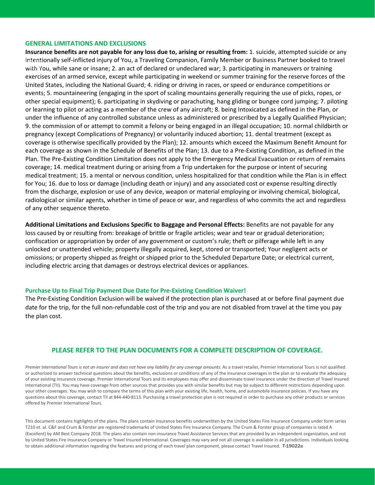#### **GENERAL LIMITATIONS AND EXCLUSIONS**

**Insurance benefits are not payable for any loss due to, arising or resulting from:** 1. suicide, attempted suicide or any intentionally self-inflicted injury of You, a Traveling Companion, Family Member or Business Partner booked to travel with You, while sane or insane; 2. an act of declared or undeclared war; 3. participating in maneuvers or training exercises of an armed service, except while participating in weekend or summer training for the reserve forces of the United States, including the National Guard; 4. riding or driving in races, or speed or endurance competitions or events; 5. mountaineering (engaging in the sport of scaling mountains generally requiring the use of picks, ropes, or other special equipment); 6. participating in skydiving or parachuting, hang gliding or bungee cord jumping; 7. piloting or learning to pilot or acting as a member of the crew of any aircraft; 8. being Intoxicated as defined in the Plan, or under the influence of any controlled substance unless as administered or prescribed by a Legally Qualified Physician; 9. the commission of or attempt to commit a felony or being engaged in an illegal occupation; 10. normal childbirth or pregnancy (except Complications of Pregnancy) or voluntarily induced abortion; 11. dental treatment (except as coverage is otherwise specifically provided by the Plan); 12. amounts which exceed the Maximum Benefit Amount for each coverage as shown in the Schedule of Benefits of the Plan; 13. due to a Pre-Existing Condition, as defined in the Plan. The Pre-Existing Condition Limitation does not apply to the Emergency Medical Evacuation or return of remains coverage; 14. medical treatment during or arising from a Trip undertaken for the purpose or intent of securing medical treatment; 15. a mental or nervous condition, unless hospitalized for that condition while the Plan is in effect for You; 16. due to loss or damage (including death or injury) and any associated cost or expense resulting directly from the discharge, explosion or use of any device, weapon or material employing or involving chemical, biological, radiological or similar agents, whether in time of peace or war, and regardless of who commits the act and regardless of any other sequence thereto.

**Additional Limitations and Exclusions Specific to Baggage and Personal Effects:** Benefits are not payable for any loss caused by or resulting from: breakage of brittle or fragile articles; wear and tear or gradual deterioration; confiscation or appropriation by order of any government or custom's rule; theft or pilferage while left in any unlocked or unattended vehicle; property illegally acquired, kept, stored or transported; Your negligent acts or omissions; or property shipped as freight or shipped prior to the Scheduled Departure Date; or electrical current, including electric arcing that damages or destroys electrical devices or appliances.

#### **Purchase Up to Final Trip Payment Due Date for Pre-Existing Condition Waiver!**

The Pre-Existing Condition Exclusion will be waived if the protection plan is purchased at or before final payment due date for the trip, for the full non-refundable cost of the trip and you are not disabled from travel at the time you pay the plan cost.

#### **PLEASE REFER TO THE PLAN DOCUMENTS FOR A COMPLETE DESCRIPTION OF COVERAGE.**

Premier International Tours is not an insurer and does not have any liability for any coverage amounts. As a travel retailer, Premier International Tours is not qualified or authorized to answer technical questions about the benefits, exclusions or conditions of any of the insurance coverages in the plan or to evaluate the adequacy of your existing insurance coverage. Premier International Tours and its employees may offer and disseminate travel insurance under the direction of Travel Insured International (TII). You may have coverage from other sources that provides you with similar benefits but may be subject to different restrictions depending upon your other coverages. You may wish to compare the terms of this plan with your existing life, health, home, and automobile insurance policies. If you have any questions about this coverage, contact TII at 844-440-8113. Purchasing a travel protection plan is not required in order to purchase any other products or services offered by Premier International Tours.

This document contains highlights of the plans. The plans contain insurance benefits underwritten by the United States Fire Insurance Company under form series T210 et. al. C&F and Crum & Forster are registered trademarks of United States Fire Insurance Company. The Crum & Forster group of companies is rated A (Excellent) by AM Best Company 2018. The plans also contain non-insurance Travel Assistance Services that are provided by an independent organization, and not by United States Fire Insurance Company or Travel Insured International. Coverages may vary and not all coverage is available in all jurisdictions. Individuals looking to obtain additional information regarding the features and pricing of each travel plan component, please contact Travel Insured. T-19022a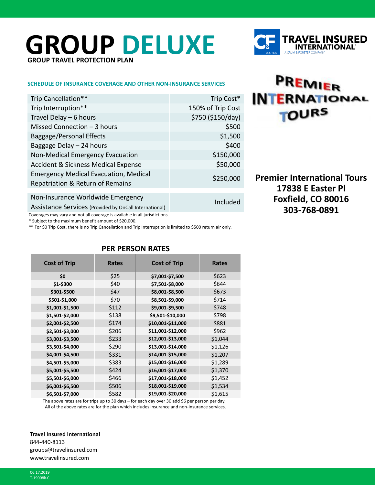## <span id="page-3-0"></span>**GROUP DELUXE GROUP TRAVEL PROTECTION PLAN**

#### **SCHEDULE OF INSURANCE COVERAGE AND OTHER NON-INSURANCE SERVICES**

| Trip Cancellation**                                                              | Trip Cost*        |
|----------------------------------------------------------------------------------|-------------------|
| Trip Interruption**                                                              | 150% of Trip Cost |
| Travel Delay $-6$ hours                                                          | \$750 (\$150/day) |
| Missed Connection $-3$ hours                                                     | \$500             |
| <b>Baggage/Personal Effects</b>                                                  | \$1,500           |
| Baggage Delay - 24 hours                                                         | \$400             |
| Non-Medical Emergency Evacuation                                                 | \$150,000         |
| <b>Accident &amp; Sickness Medical Expense</b>                                   | \$50,000          |
| <b>Emergency Medical Evacuation, Medical</b><br>Repatriation & Return of Remains | \$250,000         |
|                                                                                  |                   |
| Non-Insurance Worldwide Emergency                                                | Included          |
| Assistance Services (Provided by OnCall International)                           |                   |
| Coverages may vary and not all coverage is available in all jurisdictions.       |                   |

\* Subject to the maximum benefit amount of \$20,000.

\*\* For \$0 Trip Cost, there is no Trip Cancellation and Trip Interruption is limited to \$500 return air only.

| <b>Cost of Trip</b> | Rates | <b>Cost of Trip</b> | <b>Rates</b> |  |  |  |
|---------------------|-------|---------------------|--------------|--|--|--|
| \$0                 | \$25  | \$7,001-\$7,500     | \$623        |  |  |  |
| \$1-\$300           | \$40  | \$7,501-\$8,000     | \$644        |  |  |  |
| \$301-\$500         | \$47  | \$8,001-\$8,500     | \$673        |  |  |  |
| \$501-\$1,000       | \$70  | \$8,501-\$9,000     | \$714        |  |  |  |
| \$1,001-\$1,500     | \$112 | \$9,001-\$9,500     | \$748        |  |  |  |
| \$1,501-\$2,000     | \$138 | \$9,501-\$10,000    | \$798        |  |  |  |
| \$2,001-\$2,500     | \$174 | \$10,001-\$11,000   | \$881        |  |  |  |
| \$2,501-\$3,000     | \$206 | \$11,001-\$12,000   | \$962        |  |  |  |
| \$3,001-\$3,500     | \$233 | \$12,001-\$13,000   | \$1,044      |  |  |  |
| \$3,501-\$4,000     | \$290 | \$13,001-\$14,000   | \$1,126      |  |  |  |
| \$4,001-\$4,500     | \$331 | \$14,001-\$15,000   | \$1,207      |  |  |  |
| \$4,501-\$5,000     | \$383 | \$15,001-\$16,000   | \$1,289      |  |  |  |
| \$5,001-\$5,500     | \$424 | \$16,001-\$17,000   | \$1,370      |  |  |  |
| \$5,501-\$6,000     | \$466 | \$17,001-\$18,000   | \$1,452      |  |  |  |
| \$6,001-\$6,500     | \$506 | \$18,001-\$19,000   | \$1,534      |  |  |  |
| \$6,501-\$7,000     | \$582 | \$19,001-\$20,000   | \$1,615      |  |  |  |
|                     |       |                     |              |  |  |  |

#### **PER PERSON RATES**

The above rates are for trips up to 30 days – for each day over 30 add \$6 per person per day. All of the above rates are for the plan which includes insurance and non-insurance services.

**Travel Insured International** 844-440-8113 groups@travelinsured.com www.travelinsured.com

06.17.2019 T-19008k-C



## PREMIER **INTERNATIONAL TOURS**

**Premier International Tours 17838 E Easter Pl Foxfield, CO 80016 303-768-0891**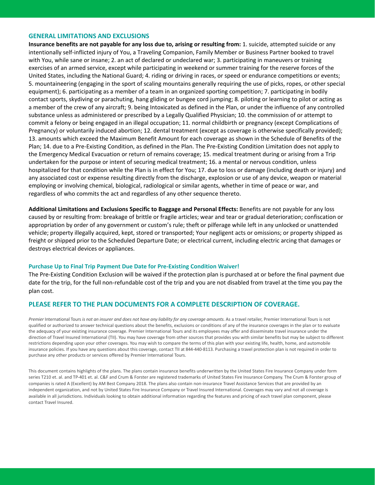#### **GENERAL LIMITATIONS AND EXCLUSIONS**

**Insurance benefits are not payable for any loss due to, arising or resulting from:** 1. suicide, attempted suicide or any intentionally self-inflicted injury of You, a Traveling Companion, Family Member or Business Partner booked to travel with You, while sane or insane; 2. an act of declared or undeclared war; 3. participating in maneuvers or training exercises of an armed service, except while participating in weekend or summer training for the reserve forces of the United States, including the National Guard; 4. riding or driving in races, or speed or endurance competitions or events; 5. mountaineering (engaging in the sport of scaling mountains generally requiring the use of picks, ropes, or other special equipment); 6. participating as a member of a team in an organized sporting competition; 7. participating in bodily contact sports, skydiving or parachuting, hang gliding or bungee cord jumping; 8. piloting or learning to pilot or acting as a member of the crew of any aircraft; 9. being Intoxicated as defined in the Plan, or under the influence of any controlled substance unless as administered or prescribed by a Legally Qualified Physician; 10. the commission of or attempt to commit a felony or being engaged in an illegal occupation; 11. normal childbirth or pregnancy (except Complications of Pregnancy) or voluntarily induced abortion; 12. dental treatment (except as coverage is otherwise specifically provided); 13. amounts which exceed the Maximum Benefit Amount for each coverage as shown in the Schedule of Benefits of the Plan; 14. due to a Pre-Existing Condition, as defined in the Plan. The Pre-Existing Condition Limitation does not apply to the Emergency Medical Evacuation or return of remains coverage; 15. medical treatment during or arising from a Trip undertaken for the purpose or intent of securing medical treatment; 16. a mental or nervous condition, unless hospitalized for that condition while the Plan is in effect for You; 17. due to loss or damage (including death or injury) and any associated cost or expense resulting directly from the discharge, explosion or use of any device, weapon or material employing or involving chemical, biological, radiological or similar agents, whether in time of peace or war, and regardless of who commits the act and regardless of any other sequence thereto.

**Additional Limitations and Exclusions Specific to Baggage and Personal Effects:** Benefits are not payable for any loss caused by or resulting from: breakage of brittle or fragile articles; wear and tear or gradual deterioration; confiscation or appropriation by order of any government or custom's rule; theft or pilferage while left in any unlocked or unattended vehicle; property illegally acquired, kept, stored or transported; Your negligent acts or omissions; or property shipped as freight or shipped prior to the Scheduled Departure Date; or electrical current, including electric arcing that damages or destroys electrical devices or appliances.

#### **Purchase Up to Final Trip Payment Due Date for Pre-Existing Condition Waiver!**

The Pre-Existing Condition Exclusion will be waived if the protection plan is purchased at or before the final payment due date for the trip, for the full non-refundable cost of the trip and you are not disabled from travel at the time you pay the plan cost.

#### **PLEASE REFER TO THE PLAN DOCUMENTS FOR A COMPLETE DESCRIPTION OF COVERAGE.**

Premier International Tours is not an insurer and does not have any liability for any coverage amounts. As a travel retailer, Premier International Tours is not qualified or authorized to answer technical questions about the benefits, exclusions or conditions of any of the insurance coverages in the plan or to evaluate the adequacy of your existing insurance coverage. Premier International Tours and its employees may offer and disseminate travel insurance under the direction of Travel Insured International (TII). You may have coverage from other sources that provides you with similar benefits but may be subject to different restrictions depending upon your other coverages. You may wish to compare the terms of this plan with your existing life, health, home, and automobile insurance policies. If you have any questions about this coverage, contact TII at 844-440-8113. Purchasing a travel protection plan is not required in order to purchase any other products or services offered by Premier International Tours.

This document contains highlights of the plans. The plans contain insurance benefits underwritten by the United States Fire Insurance Company under form series T210 et. al. and TP-401 et. al. C&F and Crum & Forster are registered trademarks of United States Fire Insurance Company. The Crum & Forster group of companies is rated A (Excellent) by AM Best Company 2018. The plans also contain non-insurance Travel Assistance Services that are provided by an independent organization, and not by United States Fire Insurance Company or Travel Insured International. Coverages may vary and not all coverage is available in all jurisdictions. Individuals looking to obtain additional information regarding the features and pricing of each travel plan component, please contact Travel Insured.